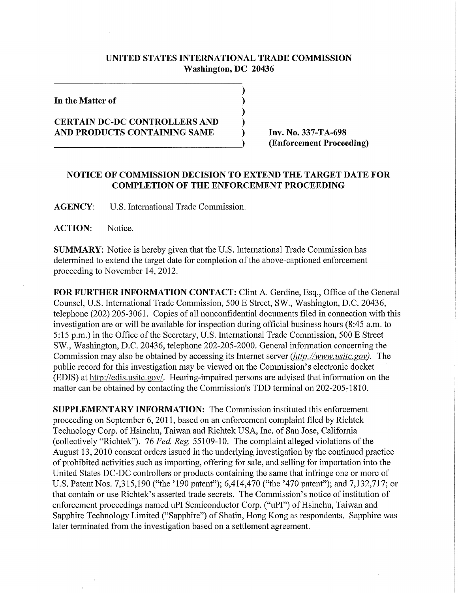## **UNITED STATES INTERNATIONAL TRADE COMMISSION Washington, DC 20436**

 $\lambda$  $\mathcal{E}$  $\lambda$  $\lambda$ 

**In the Matter of** 

## **CERTAIN DC-DC CONTROLLERS AND AND PRODUCTS CONTAINING SAME**

**Inv. No. 337-TA-698 (Enforcement Proceeding)** 

## **NOTICE OF COMMISSION DECISION TO EXTEND THE TARGET DATE FOR COMPLETION OF THE ENFORCEMENT PROCEEDING**

**AGENCY:** U.S. International Trade Commission.

**ACTION:** Notice.

**SUMMARY:** Notice is hereby given that the U.S. International Trade Commission has determined to extend the target date for completion of the above-captioned enforcement proceeding to November 14, 2012.

**FOR FURTHER INFORMATION CONTACT:** Clint A. Gerdine, Esq., Office of the General Counsel, U.S. International Trade Commission, 500 E Street, SW., Washington, D.C. 20436, telephone (202) 205-3061. Copies of all nonconfidential documents filed in connection with this investigation are or will be available for inspection during official business hours (8:45 a.m. to 5:15 p.m.) in the Office of the Secretary, U.S. International Trade Commission, 500 E Street SW., Washington, D.C. 20436, telephone 202-205-2000. General information concerning the Commission may also be obtained by accessing its Internet server *(http://www. usitc. gov).* The public record for this investigation may be viewed on the Commission's electronic docket (EDIS) at http://edis.usitc.gov/. Hearing-impaired persons are advised that information on the matter can be obtained by contacting the Commission's TDD terminal on 202-205-1810.

**SUPPLEMENTARY INFORMATION:** The Commission instituted this enforcement proceeding on September 6,2011, based on an enforcement complaint filed by Richtek Technology Corp. of Hsinchu, Taiwan and Richtek USA, Inc. of San Jose, California (collectively "Richtek"). 76 *Fed. Reg.* 55109-10. The complaint alleged violations of the August 13, 2010 consent orders issued in the underlying investigation by the continued practice of prohibited activities such as importing, offering for sale, and selling for importation into the United States DC-DC controllers or products containing the same that infringe one or more of U.S. Patent Nos. 7,315,190 ("the '190 patent"); 6,414,470 ("the '470 patent"); and 7,132,717; or that contain or use Richtek's asserted trade secrets. The Commission's notice of institution of enforcement proceedings named uPI Semiconductor Corp. ("uPI") of Hsinchu, Taiwan and Sapphire Technology Limited ("Sapphire") of Shatin, Hong Kong as respondents. Sapphire was later terminated from the investigation based on a settlement agreement.